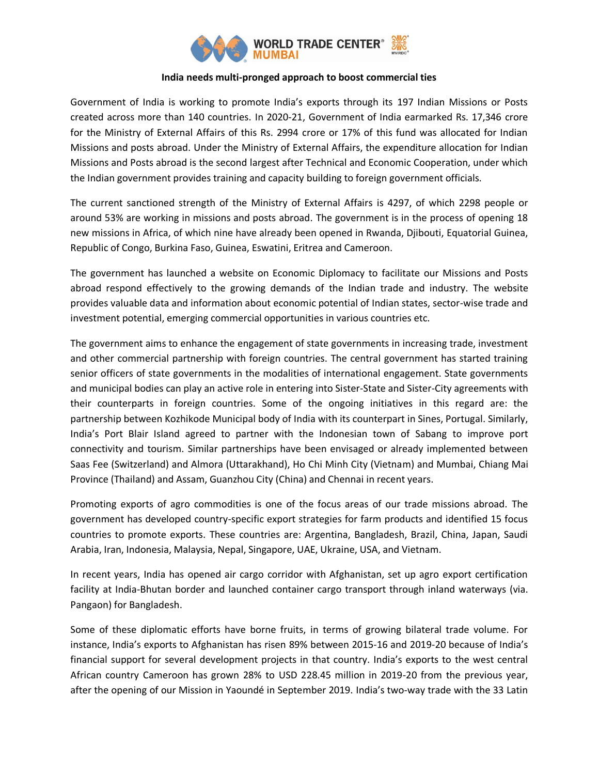

## **India needs multi-pronged approach to boost commercial ties**

Government of India is working to promote India's exports through its 197 Indian Missions or Posts created across more than 140 countries. In 2020-21, Government of India earmarked Rs. 17,346 crore for the Ministry of External Affairs of this Rs. 2994 crore or 17% of this fund was allocated for Indian Missions and posts abroad. Under the Ministry of External Affairs, the expenditure allocation for Indian Missions and Posts abroad is the second largest after Technical and Economic Cooperation, under which the Indian government provides training and capacity building to foreign government officials.

The current sanctioned strength of the Ministry of External Affairs is 4297, of which 2298 people or around 53% are working in missions and posts abroad. The government is in the process of opening 18 new missions in Africa, of which nine have already been opened in Rwanda, Djibouti, Equatorial Guinea, Republic of Congo, Burkina Faso, Guinea, Eswatini, Eritrea and Cameroon.

The government has launched a website on Economic Diplomacy to facilitate our Missions and Posts abroad respond effectively to the growing demands of the Indian trade and industry. The website provides valuable data and information about economic potential of Indian states, sector-wise trade and investment potential, emerging commercial opportunities in various countries etc.

The government aims to enhance the engagement of state governments in increasing trade, investment and other commercial partnership with foreign countries. The central government has started training senior officers of state governments in the modalities of international engagement. State governments and municipal bodies can play an active role in entering into Sister-State and Sister-City agreements with their counterparts in foreign countries. Some of the ongoing initiatives in this regard are: the partnership between Kozhikode Municipal body of India with its counterpart in Sines, Portugal. Similarly, India's Port Blair Island agreed to partner with the Indonesian town of Sabang to improve port connectivity and tourism. Similar partnerships have been envisaged or already implemented between Saas Fee (Switzerland) and Almora (Uttarakhand), Ho Chi Minh City (Vietnam) and Mumbai, Chiang Mai Province (Thailand) and Assam, Guanzhou City (China) and Chennai in recent years.

Promoting exports of agro commodities is one of the focus areas of our trade missions abroad. The government has developed country-specific export strategies for farm products and identified 15 focus countries to promote exports. These countries are: Argentina, Bangladesh, Brazil, China, Japan, Saudi Arabia, Iran, Indonesia, Malaysia, Nepal, Singapore, UAE, Ukraine, USA, and Vietnam.

In recent years, India has opened air cargo corridor with Afghanistan, set up agro export certification facility at India-Bhutan border and launched container cargo transport through inland waterways (via. Pangaon) for Bangladesh.

Some of these diplomatic efforts have borne fruits, in terms of growing bilateral trade volume. For instance, India's exports to Afghanistan has risen 89% between 2015-16 and 2019-20 because of India's financial support for several development projects in that country. India's exports to the west central African country Cameroon has grown 28% to USD 228.45 million in 2019-20 from the previous year, after the opening of our Mission in Yaoundé in September 2019. India's two-way trade with the 33 Latin